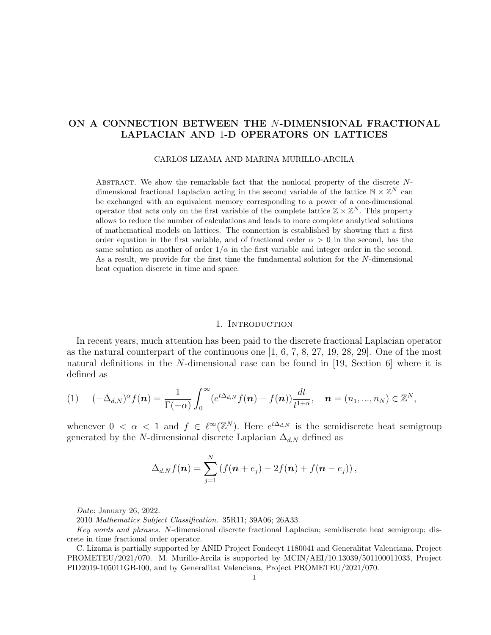# ON A CONNECTION BETWEEN THE N-DIMENSIONAL FRACTIONAL LAPLACIAN AND 1-D OPERATORS ON LATTICES

CARLOS LIZAMA AND MARINA MURILLO-ARCILA

ABSTRACT. We show the remarkable fact that the nonlocal property of the discrete  $N$ dimensional fractional Laplacian acting in the second variable of the lattice  $\mathbb{N} \times \mathbb{Z}^N$  can be exchanged with an equivalent memory corresponding to a power of a one-dimensional operator that acts only on the first variable of the complete lattice  $\mathbb{Z} \times \mathbb{Z}^N$ . This property allows to reduce the number of calculations and leads to more complete analytical solutions of mathematical models on lattices. The connection is established by showing that a first order equation in the first variable, and of fractional order  $\alpha > 0$  in the second, has the same solution as another of order  $1/\alpha$  in the first variable and integer order in the second. As a result, we provide for the first time the fundamental solution for the N-dimensional heat equation discrete in time and space.

### 1. INTRODUCTION

In recent years, much attention has been paid to the discrete fractional Laplacian operator as the natural counterpart of the continuous one  $[1, 6, 7, 8, 27, 19, 28, 29]$ . One of the most natural definitions in the N-dimensional case can be found in [19, Section 6] where it is defined as

$$
(1) \quad (-\Delta_{d,N})^{\alpha} f(\boldsymbol{n}) = \frac{1}{\Gamma(-\alpha)} \int_0^{\infty} (e^{t\Delta_{d,N}} f(\boldsymbol{n}) - f(\boldsymbol{n})) \frac{dt}{t^{1+\alpha}}, \quad \boldsymbol{n} = (n_1, ..., n_N) \in \mathbb{Z}^N,
$$

whenever  $0 < \alpha < 1$  and  $f \in \ell^{\infty}(\mathbb{Z}^N)$ . Here  $e^{t\Delta_{d,N}}$  is the semidiscrete heat semigroup generated by the N-dimensional discrete Laplacian  $\Delta_{d,N}$  defined as

$$
\Delta_{d,N} f(\boldsymbol{n}) = \sum_{j=1}^N \left( f(\boldsymbol{n} + e_j) - 2f(\boldsymbol{n}) + f(\boldsymbol{n} - e_j) \right),
$$

Date: January 26, 2022.

<sup>2010</sup> Mathematics Subject Classification. 35R11; 39A06; 26A33.

Key words and phrases. N-dimensional discrete fractional Laplacian; semidiscrete heat semigroup; discrete in time fractional order operator.

C. Lizama is partially supported by ANID Project Fondecyt 1180041 and Generalitat Valenciana, Project PROMETEU/2021/070. M. Murillo-Arcila is supported by MCIN/AEI/10.13039/501100011033, Project PID2019-105011GB-I00, and by Generalitat Valenciana, Project PROMETEU/2021/070.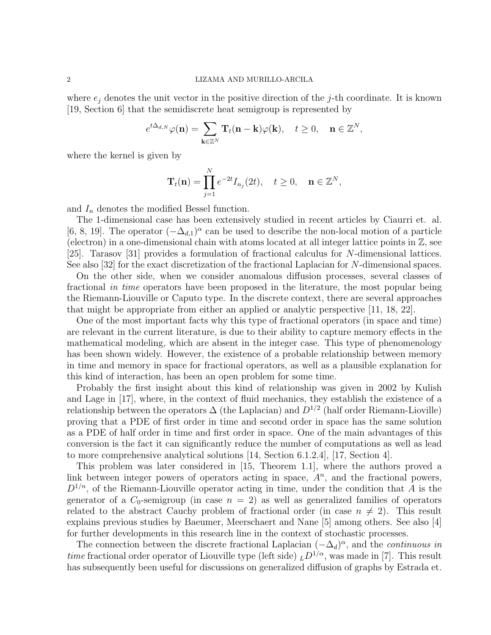where  $e_j$  denotes the unit vector in the positive direction of the j-th coordinate. It is known [19, Section 6] that the semidiscrete heat semigroup is represented by

$$
e^{t\Delta_{d,N}}\varphi(\mathbf{n})=\sum_{\mathbf{k}\in\mathbb{Z}^N}\mathbf{T}_t(\mathbf{n}-\mathbf{k})\varphi(\mathbf{k}),\quad t\geq 0,\quad \mathbf{n}\in\mathbb{Z}^N,
$$

where the kernel is given by

$$
\mathbf{T}_t(\mathbf{n}) = \prod_{j=1}^N e^{-2t} I_{n_j}(2t), \quad t \ge 0, \quad \mathbf{n} \in \mathbb{Z}^N,
$$

and  $I_n$  denotes the modified Bessel function.

The 1-dimensional case has been extensively studied in recent articles by Ciaurri et. al. [6, 8, 19]. The operator  $(-\Delta_{d,1})^{\alpha}$  can be used to describe the non-local motion of a particle (electron) in a one-dimensional chain with atoms located at all integer lattice points in  $\mathbb{Z}$ , see [25]. Tarasov [31] provides a formulation of fractional calculus for N-dimensional lattices. See also [32] for the exact discretization of the fractional Laplacian for N-dimensional spaces.

On the other side, when we consider anomalous diffusion processes, several classes of fractional in time operators have been proposed in the literature, the most popular being the Riemann-Liouville or Caputo type. In the discrete context, there are several approaches that might be appropriate from either an applied or analytic perspective [11, 18, 22].

One of the most important facts why this type of fractional operators (in space and time) are relevant in the current literature, is due to their ability to capture memory effects in the mathematical modeling, which are absent in the integer case. This type of phenomenology has been shown widely. However, the existence of a probable relationship between memory in time and memory in space for fractional operators, as well as a plausible explanation for this kind of interaction, has been an open problem for some time.

Probably the first insight about this kind of relationship was given in 2002 by Kulish and Lage in [17], where, in the context of fluid mechanics, they establish the existence of a relationship between the operators  $\Delta$  (the Laplacian) and  $D^{1/2}$  (half order Riemann-Lioville) proving that a PDE of first order in time and second order in space has the same solution as a PDE of half order in time and first order in space. One of the main advantages of this conversion is the fact it can significantly reduce the number of computations as well as lead to more comprehensive analytical solutions  $[14, Section 6.1.2.4], [17, Section 4].$ 

This problem was later considered in [15, Theorem 1.1], where the authors proved a link between integer powers of operators acting in space,  $A<sup>n</sup>$ , and the fractional powers,  $D^{1/n}$ , of the Riemann-Liouville operator acting in time, under the condition that A is the generator of a  $C_0$ -semigroup (in case  $n = 2$ ) as well as generalized families of operators related to the abstract Cauchy problem of fractional order (in case  $n \neq 2$ ). This result explains previous studies by Baeumer, Meerschaert and Nane [5] among others. See also [4] for further developments in this research line in the context of stochastic processes.

The connection between the discrete fractional Laplacian  $(-\Delta_d)^\alpha$ , and the *continuous in time* fractional order operator of Liouville type (left side)  $_LD^{1/\alpha}$ , was made in [7]. This result has subsequently been useful for discussions on generalized diffusion of graphs by Estrada et.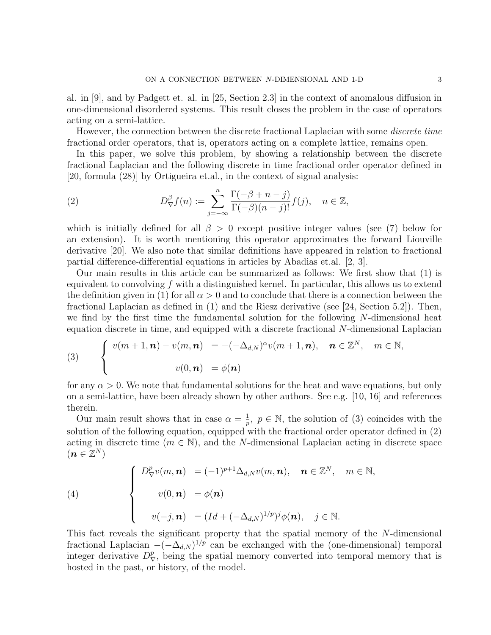al. in [9], and by Padgett et. al. in [25, Section 2.3] in the context of anomalous diffusion in one-dimensional disordered systems. This result closes the problem in the case of operators acting on a semi-lattice.

However, the connection between the discrete fractional Laplacian with some *discrete time* fractional order operators, that is, operators acting on a complete lattice, remains open.

In this paper, we solve this problem, by showing a relationship between the discrete fractional Laplacian and the following discrete in time fractional order operator defined in [20, formula (28)] by Ortigueira et.al., in the context of signal analysis:

(2) 
$$
D_{\nabla}^{\beta} f(n) := \sum_{j=-\infty}^{n} \frac{\Gamma(-\beta+n-j)}{\Gamma(-\beta)(n-j)!} f(j), \quad n \in \mathbb{Z},
$$

which is initially defined for all  $\beta > 0$  except positive integer values (see (7) below for an extension). It is worth mentioning this operator approximates the forward Liouville derivative [20]. We also note that similar definitions have appeared in relation to fractional partial difference-differential equations in articles by Abadias et.al. [2, 3].

Our main results in this article can be summarized as follows: We first show that (1) is equivalent to convolving  $f$  with a distinguished kernel. In particular, this allows us to extend the definition given in (1) for all  $\alpha > 0$  and to conclude that there is a connection between the fractional Laplacian as defined in (1) and the Riesz derivative (see [24, Section 5.2]). Then, we find by the first time the fundamental solution for the following  $N$ -dimensional heat equation discrete in time, and equipped with a discrete fractional N-dimensional Laplacian

(3) 
$$
\begin{cases} v(m+1,n)-v(m,n) = -(-\Delta_{d,N})^{\alpha}v(m+1,n), & n \in \mathbb{Z}^N, m \in \mathbb{N}, \\ v(0,n) = \phi(n) \end{cases}
$$

for any  $\alpha > 0$ . We note that fundamental solutions for the heat and wave equations, but only on a semi-lattice, have been already shown by other authors. See e.g. [10, 16] and references therein.

Our main result shows that in case  $\alpha = \frac{1}{n}$  $\frac{1}{p}$ ,  $p \in \mathbb{N}$ , the solution of (3) coincides with the solution of the following equation, equipped with the fractional order operator defined in (2) acting in discrete time  $(m \in \mathbb{N})$ , and the N-dimensional Laplacian acting in discrete space  $(\boldsymbol{n}\in\mathbb{Z}^N)$ 

(4)  

$$
\begin{cases}\nD_{\nabla}^p v(m, n) = (-1)^{p+1} \Delta_{d,N} v(m, n), & n \in \mathbb{Z}^N, \quad m \in \mathbb{N}, \\
v(0, n) = \phi(n) \\
v(-j, n) = (Id + (-\Delta_{d,N})^{1/p})^j \phi(n), & j \in \mathbb{N}.\n\end{cases}
$$

This fact reveals the significant property that the spatial memory of the N-dimensional fractional Laplacian  $-(-\Delta_{d,N})^{1/p}$  can be exchanged with the (one-dimensional) temporal integer derivative  $D^p_{\nabla}$ , being the spatial memory converted into temporal memory that is hosted in the past, or history, of the model.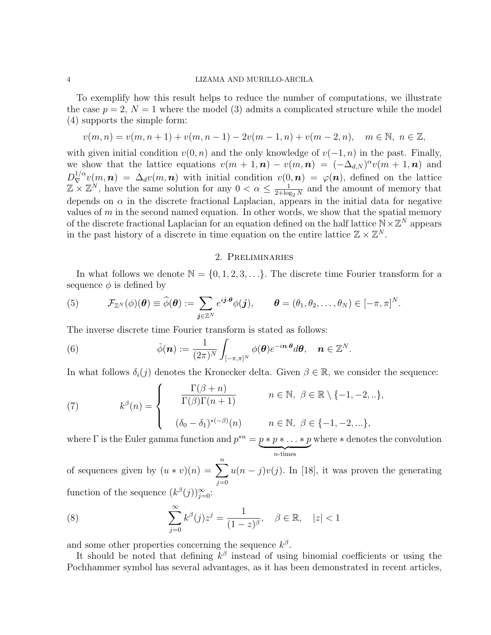To exemplify how this result helps to reduce the number of computations, we illustrate the case  $p = 2$ ,  $N = 1$  where the model (3) admits a complicated structure while the model (4) supports the simple form:

$$
v(m,n) = v(m,n+1) + v(m,n-1) - 2v(m-1,n) + v(m-2,n), \quad m \in \mathbb{N}, n \in \mathbb{Z},
$$

with given initial condition  $v(0, n)$  and the only knowledge of  $v(-1, n)$  in the past. Finally, we show that the lattice equations  $v(m + 1, n) - v(m, n) = (-\Delta_{d,N})^{\alpha}v(m + 1, n)$  and  $D_{\nabla}^{1/\alpha}v(m,n) = \Delta_d v(m,n)$  with initial condition  $v(0,n) = \varphi(n)$ , defined on the lattice  $\mathbb{Z} \times \mathbb{Z}^N$ , have the same solution for any  $0 < \alpha \leq \frac{1}{2 + \log n}$  $\frac{1}{2+\log_2 N}$  and the amount of memory that depends on  $\alpha$  in the discrete fractional Laplacian, appears in the initial data for negative values of  $m$  in the second named equation. In other words, we show that the spatial memory of the discrete fractional Laplacian for an equation defined on the half lattice  $\mathbb{N} \times \mathbb{Z}^N$  appears in the past history of a discrete in time equation on the entire lattice  $\mathbb{Z} \times \mathbb{Z}^N$ .

# 2. Preliminaries

In what follows we denote  $\mathbb{N} = \{0, 1, 2, 3, \ldots\}$ . The discrete time Fourier transform for a sequence  $\phi$  is defined by

(5) 
$$
\mathcal{F}_{\mathbb{Z}^N}(\phi)(\boldsymbol{\theta}) \equiv \widehat{\phi}(\boldsymbol{\theta}) := \sum_{\boldsymbol{j} \in \mathbb{Z}^N} e^{i\boldsymbol{j} \cdot \boldsymbol{\theta}} \phi(\boldsymbol{j}), \qquad \boldsymbol{\theta} = (\theta_1, \theta_2, \dots, \theta_N) \in [-\pi, \pi]^N.
$$

The inverse discrete time Fourier transform is stated as follows:

(6) 
$$
\check{\phi}(\boldsymbol{n}) := \frac{1}{(2\pi)^N} \int_{[-\pi,\pi]^N} \phi(\boldsymbol{\theta}) e^{-i\boldsymbol{n}\cdot\boldsymbol{\theta}} d\boldsymbol{\theta}, \quad \boldsymbol{n} \in \mathbb{Z}^N.
$$

In what follows  $\delta_i(j)$  denotes the Kronecker delta. Given  $\beta \in \mathbb{R}$ , we consider the sequence:

(7) 
$$
k^{\beta}(n) = \begin{cases} \frac{\Gamma(\beta + n)}{\Gamma(\beta)\Gamma(n + 1)} & n \in \mathbb{N}, \ \beta \in \mathbb{R} \setminus \{-1, -2, ...\}, \\ (\delta_0 - \delta_1)^{*(-\beta)}(n) & n \in \mathbb{N}, \ \beta \in \{-1, -2, ...\}, \end{cases}
$$

where  $\Gamma$  is the Euler gamma function and  $p^{*n} = p * p * \ldots * p$  $\sum_{n \text{-times}}$ where ∗ denotes the convolution

of sequences given by  $(u * v)(n) = \sum_{n=1}^{\infty}$  $j=0$  $u(n-j)v(j)$ . In [18], it was proven the generating function of the sequence  $(k^{\beta}(j))_{j=0}^{\infty}$ :

(8) 
$$
\sum_{j=0}^{\infty} k^{\beta}(j)z^{j} = \frac{1}{(1-z)^{\beta}}, \quad \beta \in \mathbb{R}, \quad |z| < 1
$$

and some other properties concerning the sequence  $k^{\beta}$ .

It should be noted that defining  $k^{\beta}$  instead of using binomial coefficients or using the Pochhammer symbol has several advantages, as it has been demonstrated in recent articles,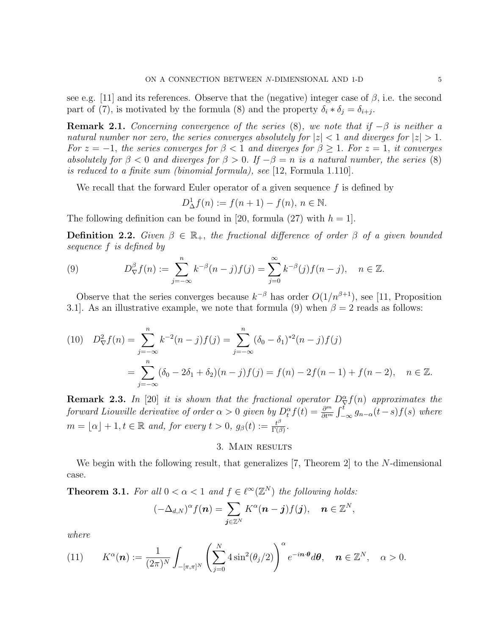see e.g. [11] and its references. Observe that the (negative) integer case of  $\beta$ , i.e. the second part of (7), is motivated by the formula (8) and the property  $\delta_i * \delta_j = \delta_{i+j}$ .

**Remark 2.1.** Concerning convergence of the series (8), we note that if  $-\beta$  is neither a natural number nor zero, the series converges absolutely for  $|z| < 1$  and diverges for  $|z| > 1$ . For  $z = -1$ , the series converges for  $\beta < 1$  and diverges for  $\beta \ge 1$ . For  $z = 1$ , it converges absolutely for  $\beta < 0$  and diverges for  $\beta > 0$ . If  $-\beta = n$  is a natural number, the series (8) is reduced to a finite sum (binomial formula), see [12, Formula 1.110].

We recall that the forward Euler operator of a given sequence  $f$  is defined by

$$
D_{\Delta}^1 f(n) := f(n+1) - f(n), \, n \in \mathbb{N}.
$$

The following definition can be found in [20, formula (27) with  $h = 1$ .

**Definition 2.2.** Given  $\beta \in \mathbb{R}_+$ , the fractional difference of order  $\beta$  of a given bounded sequence f is defined by

(9) 
$$
D_{\nabla}^{\beta} f(n) := \sum_{j=-\infty}^{n} k^{-\beta} (n-j) f(j) = \sum_{j=0}^{\infty} k^{-\beta} (j) f(n-j), \quad n \in \mathbb{Z}.
$$

Observe that the series converges because  $k^{-\beta}$  has order  $O(1/n^{\beta+1})$ , see [11, Proposition 3.1]. As an illustrative example, we note that formula (9) when  $\beta = 2$  reads as follows:

(10) 
$$
D_{\nabla}^{2} f(n) = \sum_{j=-\infty}^{n} k^{-2} (n-j) f(j) = \sum_{j=-\infty}^{n} (\delta_{0} - \delta_{1})^{*2} (n-j) f(j)
$$

$$
= \sum_{j=-\infty}^{n} (\delta_{0} - 2\delta_{1} + \delta_{2}) (n-j) f(j) = f(n) - 2f(n-1) + f(n-2), \quad n \in \mathbb{Z}.
$$

**Remark 2.3.** In [20] it is shown that the fractional operator  $D_{\nabla}^{\alpha} f(n)$  approximates the forward Liouville derivative of order  $\alpha > 0$  given by  $D_t^{\alpha} f(t) = \frac{\partial^m}{\partial t^m} \int_{-\infty}^t g_{n-\alpha}(t-s) f(s)$  where  $m = \lfloor \alpha \rfloor + 1, t \in \mathbb{R}$  and, for every  $t > 0$ ,  $g_{\beta}(t) := \frac{t^{\beta}}{\Gamma(\beta)}$  $\frac{t^{\nu}}{\Gamma(\beta)}$  .

## 3. Main results

We begin with the following result, that generalizes [7, Theorem 2] to the N-dimensional case.

**Theorem 3.1.** For all  $0 < \alpha < 1$  and  $f \in \ell^{\infty}(\mathbb{Z}^N)$  the following holds:

$$
(-\Delta_{d,N})^{\alpha}f(\boldsymbol{n})=\sum_{\boldsymbol{j}\in\mathbb{Z}^N}K^{\alpha}(\boldsymbol{n}-\boldsymbol{j})f(\boldsymbol{j}),\quad \boldsymbol{n}\in\mathbb{Z}^N,
$$

where

(11) 
$$
K^{\alpha}(\boldsymbol{n}) := \frac{1}{(2\pi)^N} \int_{-[\pi,\pi]^N} \left( \sum_{j=0}^N 4 \sin^2(\theta_j/2) \right)^{\alpha} e^{-i\boldsymbol{n}\cdot\boldsymbol{\theta}} d\boldsymbol{\theta}, \quad \boldsymbol{n} \in \mathbb{Z}^N, \quad \alpha > 0.
$$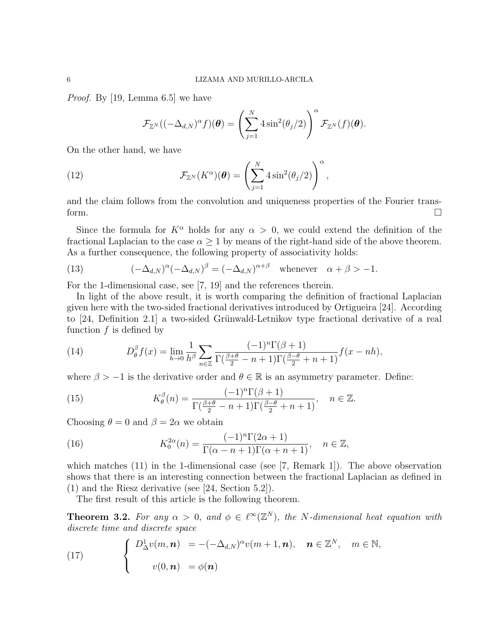Proof. By [19, Lemma 6.5] we have

$$
\mathcal{F}_{\mathbb{Z}^N}((-\Delta_{d,N})^{\alpha}f)(\boldsymbol{\theta}) = \left(\sum_{j=1}^N 4\sin^2(\theta_j/2)\right)^{\alpha} \mathcal{F}_{\mathbb{Z}^N}(f)(\boldsymbol{\theta}).
$$

On the other hand, we have

(12) 
$$
\mathcal{F}_{\mathbb{Z}^N}(K^{\alpha})(\boldsymbol{\theta}) = \left(\sum_{j=1}^N 4\sin^2(\theta_j/2)\right)^{\alpha},
$$

and the claim follows from the convolution and uniqueness properties of the Fourier transform.  $\square$ 

Since the formula for  $K^{\alpha}$  holds for any  $\alpha > 0$ , we could extend the definition of the fractional Laplacian to the case  $\alpha \geq 1$  by means of the right-hand side of the above theorem. As a further consequence, the following property of associativity holds:

(13) 
$$
(-\Delta_{d,N})^{\alpha}(-\Delta_{d,N})^{\beta} = (-\Delta_{d,N})^{\alpha+\beta} \text{ whenever } \alpha+\beta > -1.
$$

For the 1-dimensional case, see [7, 19] and the references therein.

In light of the above result, it is worth comparing the definition of fractional Laplacian given here with the two-sided fractional derivatives introduced by Ortigueira [24]. According to  $[24,$  Definition 2.1 a two-sided Grünwald-Letnikov type fractional derivative of a real function  $f$  is defined by

(14) 
$$
D_{\theta}^{\beta} f(x) = \lim_{h \to 0} \frac{1}{h^{\beta}} \sum_{n \in \mathbb{Z}} \frac{(-1)^n \Gamma(\beta + 1)}{\Gamma(\frac{\beta + \theta}{2} - n + 1) \Gamma(\frac{\beta - \theta}{2} + n + 1)} f(x - nh),
$$

where  $\beta > -1$  is the derivative order and  $\theta \in \mathbb{R}$  is an asymmetry parameter. Define:

(15) 
$$
K_{\theta}^{\beta}(n) = \frac{(-1)^n \Gamma(\beta + 1)}{\Gamma(\frac{\beta + \theta}{2} - n + 1) \Gamma(\frac{\beta - \theta}{2} + n + 1)}, \quad n \in \mathbb{Z}.
$$

Choosing  $\theta = 0$  and  $\beta = 2\alpha$  we obtain

(16) 
$$
K_0^{2\alpha}(n) = \frac{(-1)^n \Gamma(2\alpha + 1)}{\Gamma(\alpha - n + 1)\Gamma(\alpha + n + 1)}, \quad n \in \mathbb{Z},
$$

which matches  $(11)$  in the 1-dimensional case (see [7, Remark 1]). The above observation shows that there is an interesting connection between the fractional Laplacian as defined in (1) and the Riesz derivative (see [24, Section 5.2]).

The first result of this article is the following theorem.

**Theorem 3.2.** For any  $\alpha > 0$ , and  $\phi \in \ell^{\infty}(\mathbb{Z}^N)$ , the N-dimensional heat equation with discrete time and discrete space

(17) 
$$
\begin{cases} D^1_{\Delta}v(m,\mathbf{n}) = -(-\Delta_{d,N})^{\alpha}v(m+1,\mathbf{n}), & \mathbf{n} \in \mathbb{Z}^N, \quad m \in \mathbb{N}, \\ v(0,\mathbf{n}) = \phi(\mathbf{n}) \end{cases}
$$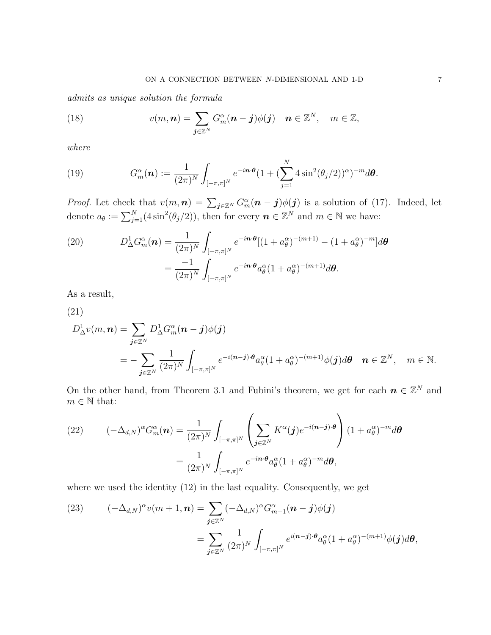admits as unique solution the formula

(18) 
$$
v(m, n) = \sum_{j \in \mathbb{Z}^N} G_m^{\alpha}(n - j) \phi(j) \quad n \in \mathbb{Z}^N, \quad m \in \mathbb{Z},
$$

where

(19) 
$$
G_m^{\alpha}(\boldsymbol{n}) := \frac{1}{(2\pi)^N} \int_{[-\pi,\pi]^N} e^{-i\boldsymbol{n}\cdot\boldsymbol{\theta}} (1 + (\sum_{j=1}^N 4\sin^2(\theta_j/2))^{\alpha})^{-m} d\boldsymbol{\theta}.
$$

*Proof.* Let check that  $v(m, n) = \sum_{j \in \mathbb{Z}^N} G_m^{\alpha}(n-j)\phi(j)$  is a solution of (17). Indeed, let denote  $a_{\theta} := \sum_{j=1}^{N} (4\sin^2(\theta_j/2))$ , then for every  $n \in \mathbb{Z}^N$  and  $m \in \mathbb{N}$  we have:

(20) 
$$
D_{\Delta}^{1} G_{m}^{\alpha}(\boldsymbol{n}) = \frac{1}{(2\pi)^{N}} \int_{[-\pi,\pi]^{N}} e^{-i\boldsymbol{n}\cdot\boldsymbol{\theta}} [(1 + a_{\theta}^{\alpha})^{-(m+1)} - (1 + a_{\theta}^{\alpha})^{-m}] d\boldsymbol{\theta}
$$

$$
= \frac{-1}{(2\pi)^{N}} \int_{[-\pi,\pi]^{N}} e^{-i\boldsymbol{n}\cdot\boldsymbol{\theta}} a_{\theta}^{\alpha} (1 + a_{\theta}^{\alpha})^{-(m+1)} d\boldsymbol{\theta}.
$$

As a result,

(21)

$$
D_{\Delta}^{1}v(m, n) = \sum_{\mathbf{j}\in\mathbb{Z}^{N}} D_{\Delta}^{1}G_{m}^{\alpha}(n-\mathbf{j})\phi(\mathbf{j})
$$
  
= 
$$
-\sum_{\mathbf{j}\in\mathbb{Z}^{N}} \frac{1}{(2\pi)^{N}} \int_{[-\pi,\pi]^{N}} e^{-i(n-\mathbf{j})\cdot\boldsymbol{\theta}} a_{\theta}^{\alpha}(1+a_{\theta}^{\alpha})^{-(m+1)}\phi(\mathbf{j}) d\boldsymbol{\theta} \quad n \in \mathbb{Z}^{N}, \quad m \in \mathbb{N}.
$$

On the other hand, from Theorem 3.1 and Fubini's theorem, we get for each  $n \in \mathbb{Z}^N$  and  $m \in \mathbb{N}$  that:

(22) 
$$
(-\Delta_{d,N})^{\alpha} G_m^{\alpha}(\boldsymbol{n}) = \frac{1}{(2\pi)^N} \int_{[-\pi,\pi]^N} \left( \sum_{\boldsymbol{j} \in \mathbb{Z}^N} K^{\alpha}(\boldsymbol{j}) e^{-i(\boldsymbol{n}-\boldsymbol{j}) \cdot \boldsymbol{\theta}} \right) (1 + a_{\theta}^{\alpha})^{-m} d\boldsymbol{\theta}
$$

$$
= \frac{1}{(2\pi)^N} \int_{[-\pi,\pi]^N} e^{-i\boldsymbol{n} \cdot \boldsymbol{\theta}} a_{\theta}^{\alpha} (1 + a_{\theta}^{\alpha})^{-m} d\boldsymbol{\theta},
$$

where we used the identity (12) in the last equality. Consequently, we get

(23) 
$$
(-\Delta_{d,N})^{\alpha}v(m+1,n) = \sum_{\mathbf{j}\in\mathbb{Z}^N}(-\Delta_{d,N})^{\alpha}G_{m+1}^{\alpha}(n-\mathbf{j})\phi(\mathbf{j})
$$

$$
=\sum_{\mathbf{j}\in\mathbb{Z}^N}\frac{1}{(2\pi)^N}\int_{[-\pi,\pi]^N}e^{i(n-\mathbf{j})\cdot\boldsymbol{\theta}}a_{\theta}^{\alpha}(1+a_{\theta}^{\alpha})^{-(m+1)}\phi(\mathbf{j})d\boldsymbol{\theta},
$$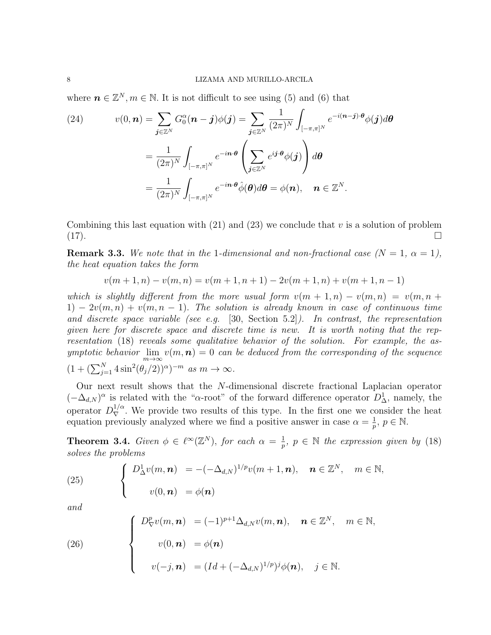where  $\mathbf{n} \in \mathbb{Z}^N, m \in \mathbb{N}$ . It is not difficult to see using (5) and (6) that

(24) 
$$
v(0, n) = \sum_{\mathbf{j} \in \mathbb{Z}^N} G_0^{\alpha}(n - \mathbf{j}) \phi(\mathbf{j}) = \sum_{\mathbf{j} \in \mathbb{Z}^N} \frac{1}{(2\pi)^N} \int_{[-\pi, \pi]^N} e^{-i(n - \mathbf{j}) \cdot \theta} \phi(\mathbf{j}) d\theta
$$

$$
= \frac{1}{(2\pi)^N} \int_{[-\pi, \pi]^N} e^{-in \cdot \theta} \left( \sum_{\mathbf{j} \in \mathbb{Z}^N} e^{i\mathbf{j} \cdot \theta} \phi(\mathbf{j}) \right) d\theta
$$

$$
= \frac{1}{(2\pi)^N} \int_{[-\pi, \pi]^N} e^{-in \cdot \theta} \hat{\phi}(\theta) d\theta = \phi(n), \quad n \in \mathbb{Z}^N.
$$

Combining this last equation with  $(21)$  and  $(23)$  we conclude that v is a solution of problem (17).

**Remark 3.3.** We note that in the 1-dimensional and non-fractional case  $(N = 1, \alpha = 1)$ , the heat equation takes the form

 $v(m+1, n) - v(m, n) = v(m+1, n+1) - 2v(m+1, n) + v(m+1, n-1)$ 

which is slightly different from the more usual form  $v(m + 1, n) - v(m, n) = v(m, n + 1)$  $1) - 2v(m,n) + v(m,n-1)$ . The solution is already known in case of continuous time and discrete space variable (see e.g. [30, Section 5.2]). In contrast, the representation given here for discrete space and discrete time is new. It is worth noting that the representation (18) reveals some qualitative behavior of the solution. For example, the asymptotic behavior  $\lim_{m\to\infty} v(m,\boldsymbol{n})=0$  can be deduced from the corresponding of the sequence  $(1 + (\sum_{j=1}^{N} 4 \sin^2(\theta_j/2))^{\alpha})^{-m}$  as  $m \to \infty$ .

Our next result shows that the N-dimensional discrete fractional Laplacian operator  $(-\Delta_{d,N})^{\alpha}$  is related with the " $\alpha$ -root" of the forward difference operator  $D^1_{\Delta}$ , namely, the operator  $D_{\nabla}^{1/\alpha}$ . We provide two results of this type. In the first one we consider the heat equation previously analyzed where we find a positive answer in case  $\alpha = \frac{1}{n}$  $\frac{1}{p}, p \in \mathbb{N}.$ 

**Theorem 3.4.** Given  $\phi \in \ell^{\infty}(\mathbb{Z}^{N})$ , for each  $\alpha = \frac{1}{n}$  $\frac{1}{p}$ ,  $p \in \mathbb{N}$  the expression given by (18) solves the problems

(25) 
$$
\begin{cases} D^1_{\Delta}v(m,\boldsymbol{n}) = -(-\Delta_{d,N})^{1/p}v(m+1,\boldsymbol{n}), & \boldsymbol{n} \in \mathbb{Z}^N, \quad m \in \mathbb{N}, \\ v(0,\boldsymbol{n}) = \phi(\boldsymbol{n}) \end{cases}
$$

and

(26)  

$$
\begin{cases}\nD_{\nabla}^p v(m, n) = (-1)^{p+1} \Delta_{d,N} v(m, n), & n \in \mathbb{Z}^N, \quad m \in \mathbb{N}, \\
v(0, n) = \phi(n) \\
v(-j, n) = (Id + (-\Delta_{d,N})^{1/p})^j \phi(n), & j \in \mathbb{N}.\n\end{cases}
$$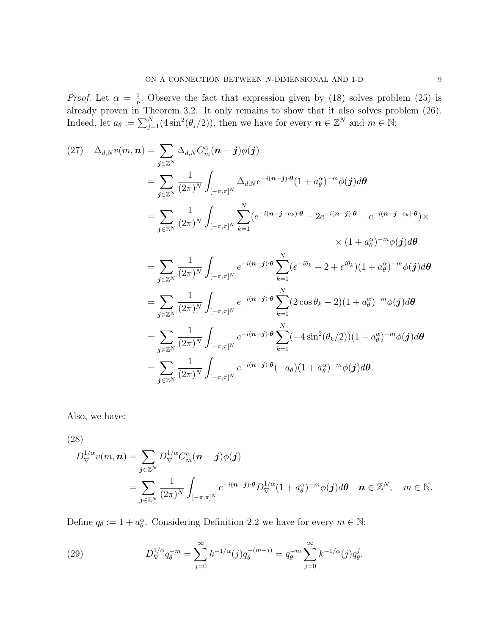*Proof.* Let  $\alpha = \frac{1}{n}$  $\frac{1}{p}$ . Observe the fact that expression given by (18) solves problem (25) is already proven in Theorem 3.2. It only remains to show that it also solves problem (26). Indeed, let  $a_{\theta} := \sum_{j=1}^{N} (4\sin^2(\theta_j/2))$ , then we have for every  $\mathbf{n} \in \mathbb{Z}^N$  and  $m \in \mathbb{N}$ :

$$
(27) \quad \Delta_{d,N}v(m,\mathbf{n}) = \sum_{j\in\mathbb{Z}^N} \Delta_{d,N}G_m^{\alpha}(\mathbf{n}-j)\phi(j)
$$
  
\n
$$
= \sum_{j\in\mathbb{Z}^N} \frac{1}{(2\pi)^N} \int_{[-\pi,\pi]^N} \Delta_{d,N}e^{-i(\mathbf{n}-j)\cdot\theta}(1+a_{\theta}^{\alpha})^{-m}\phi(j)d\theta
$$
  
\n
$$
= \sum_{j\in\mathbb{Z}^N} \frac{1}{(2\pi)^N} \int_{[-\pi,\pi]^N} \sum_{k=1}^N (e^{-i(\mathbf{n}-j+\epsilon_k)\cdot\theta} - 2e^{-i(\mathbf{n}-j)\cdot\theta} + e^{-i(\mathbf{n}-j-\epsilon_k)\cdot\theta}) \times
$$
  
\n
$$
\times (1+a_{\theta}^{\alpha})^{-m}\phi(j)d\theta
$$
  
\n
$$
= \sum_{j\in\mathbb{Z}^N} \frac{1}{(2\pi)^N} \int_{[-\pi,\pi]^N} e^{-i(\mathbf{n}-j)\cdot\theta} \sum_{k=1}^N (e^{-i\theta_k} - 2 + e^{i\theta_k})(1+a_{\theta}^{\alpha})^{-m}\phi(j)d\theta
$$
  
\n
$$
= \sum_{j\in\mathbb{Z}^N} \frac{1}{(2\pi)^N} \int_{[-\pi,\pi]^N} e^{-i(\mathbf{n}-j)\cdot\theta} \sum_{k=1}^N (2\cos\theta_k - 2)(1+a_{\theta}^{\alpha})^{-m}\phi(j)d\theta
$$
  
\n
$$
= \sum_{j\in\mathbb{Z}^N} \frac{1}{(2\pi)^N} \int_{[-\pi,\pi]^N} e^{-i(\mathbf{n}-j)\cdot\theta} \sum_{k=1}^N (-4\sin^2(\theta_k/2))(1+a_{\theta}^{\alpha})^{-m}\phi(j)d\theta
$$
  
\n
$$
= \sum_{j\in\mathbb{Z}^N} \frac{1}{(2\pi)^N} \int_{[-\pi,\pi]^N} e^{-i(\mathbf{n}-j)\cdot\theta} (-a_{\theta})(1+a_{\theta}^{\alpha})^{-m}\phi(j)d\theta.
$$

Also, we have:

(28)

$$
D_{\nabla}^{1/\alpha}v(m, n) = \sum_{\mathbf{j}\in\mathbb{Z}^N} D_{\nabla}^{1/\alpha}G_m^{\alpha}(n-\mathbf{j})\phi(\mathbf{j})
$$
  
= 
$$
\sum_{\mathbf{j}\in\mathbb{Z}^N} \frac{1}{(2\pi)^N} \int_{[-\pi,\pi]^N} e^{-i(n-\mathbf{j})\cdot\boldsymbol{\theta}} D_{\nabla}^{1/\alpha}(1+a_{\theta}^{\alpha})^{-m}\phi(\mathbf{j})d\boldsymbol{\theta} \quad n \in \mathbb{Z}^N, \quad m \in \mathbb{N}.
$$

Define  $q_{\theta} := 1 + a_{\theta}^{\alpha}$ . Considering Definition 2.2 we have for every  $m \in \mathbb{N}$ :

(29) 
$$
D_{\nabla}^{1/\alpha} q_{\theta}^{-m} = \sum_{j=0}^{\infty} k^{-1/\alpha}(j) q_{\theta}^{-(m-j)} = q_{\theta}^{-m} \sum_{j=0}^{\infty} k^{-1/\alpha}(j) q_{\theta}^{j}.
$$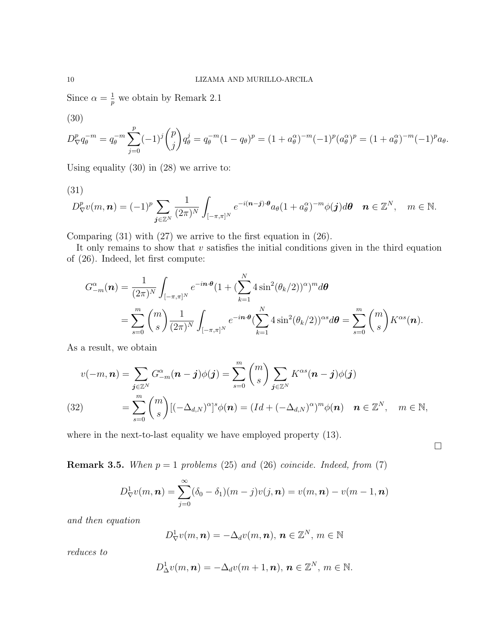Since  $\alpha = \frac{1}{p}$  we obtain by Remark 2.1

(30)

$$
D_{\nabla}^{p}q_{\theta}^{-m} = q_{\theta}^{-m} \sum_{j=0}^{p} (-1)^{j} {p \choose j} q_{\theta}^{j} = q_{\theta}^{-m} (1 - q_{\theta})^{p} = (1 + a_{\theta}^{\alpha})^{-m} (-1)^{p} (a_{\theta}^{\alpha})^{p} = (1 + a_{\theta}^{\alpha})^{-m} (-1)^{p} a_{\theta}.
$$

Using equality (30) in (28) we arrive to:

$$
(31)
$$

$$
D_{\nabla}^{p}v(m,\boldsymbol{n})=(-1)^{p}\sum_{\boldsymbol{j}\in\mathbb{Z}^{N}}\frac{1}{(2\pi)^{N}}\int_{[-\pi,\pi]^{N}}e^{-i(\boldsymbol{n}-\boldsymbol{j})\cdot\boldsymbol{\theta}}a_{\theta}(1+a_{\theta}^{\alpha})^{-m}\phi(\boldsymbol{j})d\boldsymbol{\theta}\quad\boldsymbol{n}\in\mathbb{Z}^{N},\quad m\in\mathbb{N}.
$$

Comparing (31) with (27) we arrive to the first equation in (26).

It only remains to show that  $v$  satisfies the initial conditions given in the third equation of (26). Indeed, let first compute:

$$
G_{-m}^{\alpha}(\boldsymbol{n}) = \frac{1}{(2\pi)^N} \int_{[-\pi,\pi]^N} e^{-i\boldsymbol{n}\cdot\boldsymbol{\theta}} (1 + (\sum_{k=1}^N 4\sin^2(\theta_k/2))^{\alpha})^m d\boldsymbol{\theta}
$$
  
= 
$$
\sum_{s=0}^m {m \choose s} \frac{1}{(2\pi)^N} \int_{[-\pi,\pi]^N} e^{-i\boldsymbol{n}\cdot\boldsymbol{\theta}} (\sum_{k=1}^N 4\sin^2(\theta_k/2))^{\alpha s} d\boldsymbol{\theta} = \sum_{s=0}^m {m \choose s} K^{\alpha s}(\boldsymbol{n}).
$$

As a result, we obtain

$$
v(-m, n) = \sum_{\mathbf{j} \in \mathbb{Z}^N} G_{-m}^{\alpha}(n - \mathbf{j})\phi(\mathbf{j}) = \sum_{s=0}^m {m \choose s} \sum_{\mathbf{j} \in \mathbb{Z}^N} K^{\alpha s}(n - \mathbf{j})\phi(\mathbf{j})
$$
  
(32)
$$
= \sum_{s=0}^m {m \choose s} [(-\Delta_{d,N})^{\alpha}]^s \phi(n) = (Id + (-\Delta_{d,N})^{\alpha})^m \phi(n) \quad n \in \mathbb{Z}^N, \quad m \in \mathbb{N},
$$

where in the next-to-last equality we have employed property (13).

**Remark 3.5.** When  $p = 1$  problems (25) and (26) coincide. Indeed, from (7)

$$
D^1_{\nabla}v(m,\boldsymbol{n})=\sum_{j=0}^\infty (\delta_0-\delta_1)(m-j)v(j,\boldsymbol{n})=v(m,\boldsymbol{n})-v(m-1,\boldsymbol{n})
$$

and then equation

$$
D^1_{\nabla}v(m,\mathbf{n})=-\Delta_d v(m,\mathbf{n}),\,\mathbf{n}\in\mathbb{Z}^N,\,m\in\mathbb{N}
$$

reduces to

$$
D^1_{\Delta}v(m,\mathbf{n})=-\Delta_d v(m+1,\mathbf{n}),\,\mathbf{n}\in\mathbb{Z}^N,\,m\in\mathbb{N}.
$$

 $\Box$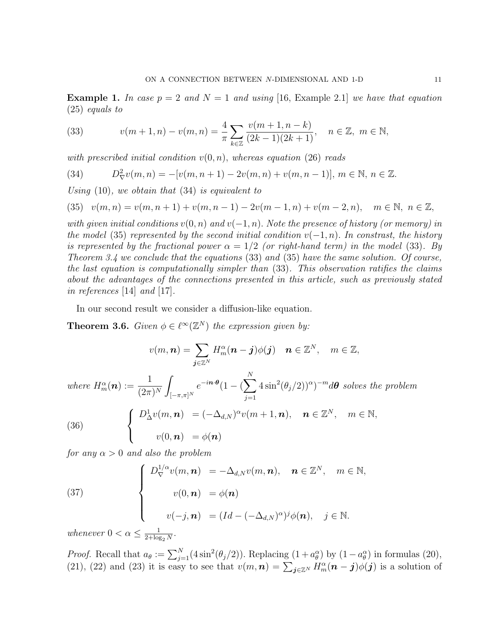**Example 1.** In case  $p = 2$  and  $N = 1$  and using [16, Example 2.1] we have that equation (25) equals to

(33) 
$$
v(m+1,n) - v(m,n) = \frac{4}{\pi} \sum_{k \in \mathbb{Z}} \frac{v(m+1,n-k)}{(2k-1)(2k+1)}, \quad n \in \mathbb{Z}, \ m \in \mathbb{N},
$$

with prescribed initial condition  $v(0, n)$ , whereas equation (26) reads

(34) 
$$
D^2_{\nabla}v(m,n) = -[v(m,n+1) - 2v(m,n) + v(m,n-1)], \, m \in \mathbb{N}, \, n \in \mathbb{Z}.
$$

Using  $(10)$ , we obtain that  $(34)$  is equivalent to

$$
(35) \quad v(m,n) = v(m,n+1) + v(m,n-1) - 2v(m-1,n) + v(m-2,n), \quad m \in \mathbb{N}, \ n \in \mathbb{Z},
$$

with given initial conditions  $v(0, n)$  and  $v(-1, n)$ . Note the presence of history (or memory) in the model (35) represented by the second initial condition  $v(-1, n)$ . In constrast, the history is represented by the fractional power  $\alpha = 1/2$  (or right-hand term) in the model (33). By Theorem 3.4 we conclude that the equations (33) and (35) have the same solution. Of course, the last equation is computationally simpler than (33). This observation ratifies the claims about the advantages of the connections presented in this article, such as previously stated in references [14] and [17].

In our second result we consider a diffusion-like equation.

**Theorem 3.6.** Given  $\phi \in \ell^{\infty}(\mathbb{Z}^N)$  the expression given by:

$$
v(m,\boldsymbol{n})=\sum_{\boldsymbol{j}\in\mathbb{Z}^N}H_m^{\alpha}(\boldsymbol{n}-\boldsymbol{j})\phi(\boldsymbol{j})\quad \boldsymbol{n}\in\mathbb{Z}^N,\quad m\in\mathbb{Z},
$$

where  $H_m^{\alpha}(\boldsymbol{n}) := \frac{1}{(2\pi)^N}$ Z  $[-\pi,\pi]^N$  $e^{-i\boldsymbol{n}\cdot\boldsymbol{\theta}}(1-(\sum$ N  $j=1$  $4\sin^2(\theta_j/2))^{\alpha}$ <sup>-m</sup>d $\theta$  solves the problem (36)  $\sqrt{ }$  $\int$  $\mathcal{L}$  $D^1_{\Delta}v(m, n) = (-\Delta_{d,N})^{\alpha}v(m+1, n), \quad n \in \mathbb{Z}^N, \quad m \in \mathbb{N},$  $v(0,\boldsymbol{n})\hspace{2mm} = \phi(\boldsymbol{n})$ 

for any  $\alpha > 0$  and also the problem

(37)  

$$
\begin{cases}\nD_{\nabla}^{1/\alpha}v(m,\mathbf{n}) = -\Delta_{d,N}v(m,\mathbf{n}), & \mathbf{n} \in \mathbb{Z}^{N}, \quad m \in \mathbb{N}, \\
v(0,\mathbf{n}) = \phi(\mathbf{n}) \\
v(-j,\mathbf{n}) = (Id - (-\Delta_{d,N})^{\alpha})^{j}\phi(\mathbf{n}), & j \in \mathbb{N}.\n\end{cases}
$$

whenever  $0 < \alpha \leq \frac{1}{2 + \log n}$  $\frac{1}{2 + \log_2 N}$ .

*Proof.* Recall that  $a_{\theta} := \sum_{j=1}^{N} (4\sin^2(\theta_j/2))$ . Replacing  $(1 + a_{\theta}^{\alpha})$  by  $(1 - a_{\theta}^{\alpha})$  in formulas (20), (21), (22) and (23) it is easy to see that  $v(m,n) = \sum_{j\in\mathbb{Z}^N} H_m^{\alpha}(n-j)\phi(j)$  is a solution of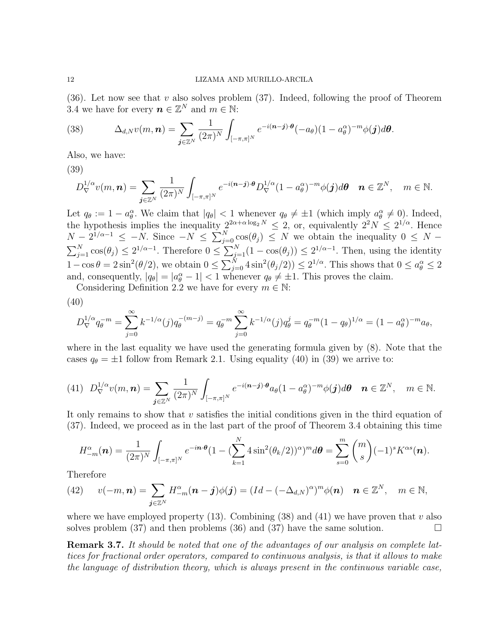(36). Let now see that v also solves problem (37). Indeed, following the proof of Theorem 3.4 we have for every  $n \in \mathbb{Z}^N$  and  $m \in \mathbb{N}$ :

(38) 
$$
\Delta_{d,N} v(m,\boldsymbol{n}) = \sum_{\boldsymbol{j}\in\mathbb{Z}^N} \frac{1}{(2\pi)^N} \int_{[-\pi,\pi]^N} e^{-i(\boldsymbol{n}-\boldsymbol{j})\cdot\boldsymbol{\theta}} (-a_{\theta})(1-a_{\theta}^{\alpha})^{-m} \phi(\boldsymbol{j}) d\boldsymbol{\theta}.
$$

Also, we have:

(39)

$$
D_{\nabla}^{1/\alpha}v(m,\boldsymbol{n})=\sum_{\boldsymbol{j}\in\mathbb{Z}^N}\frac{1}{(2\pi)^N}\int_{[-\pi,\pi]^N}e^{-i(\boldsymbol{n}-\boldsymbol{j})\cdot\boldsymbol{\theta}}D_{\nabla}^{1/\alpha}(1-a_{\theta}^{\alpha})^{-m}\phi(\boldsymbol{j})d\boldsymbol{\theta}\quad\boldsymbol{n}\in\mathbb{Z}^N,\quad m\in\mathbb{N}.
$$

Let  $q_{\theta} := 1 - a_{\theta}^{\alpha}$ . We claim that  $|q_{\theta}| < 1$  whenever  $q_{\theta} \neq \pm 1$  (which imply  $a_{\theta}^{\alpha} \neq 0$ ). Indeed, the hypothesis implies the inequality  $2^{2\alpha + \alpha \log_2 N} \leq 2$ , or, equivalently  $2^2N \leq 2^{1/\alpha}$ . Hence  $N-2^{1/\alpha-1} \leq -N$ . Since  $-N \leq \sum_{j=0}^{N} \cos(\theta_j) \leq N$  we obtain the inequality  $0 \leq N-1$  $\sum_{j=1}^{N} \cos(\theta_j) \leq 2^{1/\alpha-1}$ . Therefore  $0 \leq \sum_{j=1}^{N} (1 - \cos(\theta_j)) \leq 2^{1/\alpha-1}$ . Then, using the identity  $1-\cos\theta = 2\sin^2(\theta/2)$ , we obtain  $0 \le \sum_{j=0}^N 4\sin^2(\theta_j/2) \le 2^{1/\alpha}$ . This shows that  $0 \le a_\theta^\alpha \le 2$ and, consequently,  $|q_{\theta}| = |a_{\theta}^{\alpha} - 1| < 1$  whenever  $q_{\theta} \neq \pm 1$ . This proves the claim.

Considering Definition 2.2 we have for every  $m \in \mathbb{N}$ :

(40)

$$
D_{\nabla}^{1/\alpha} q_{\theta}^{-m} = \sum_{j=0}^{\infty} k^{-1/\alpha}(j) q_{\theta}^{-(m-j)} = q_{\theta}^{-m} \sum_{j=0}^{\infty} k^{-1/\alpha}(j) q_{\theta}^{j} = q_{\theta}^{-m} (1 - q_{\theta})^{1/\alpha} = (1 - a_{\theta}^{\alpha})^{-m} a_{\theta},
$$

where in the last equality we have used the generating formula given by (8). Note that the cases  $q_{\theta} = \pm 1$  follow from Remark 2.1. Using equality (40) in (39) we arrive to:

$$
(41)\quad D_{\nabla}^{1/\alpha}v(m,\boldsymbol{n})=\sum_{\boldsymbol{j}\in\mathbb{Z}^N}\frac{1}{(2\pi)^N}\int_{[-\pi,\pi]^N}e^{-i(\boldsymbol{n}-\boldsymbol{j})\cdot\boldsymbol{\theta}}a_{\theta}(1-a_{\theta}^{\alpha})^{-m}\phi(\boldsymbol{j})d\boldsymbol{\theta}\quad\boldsymbol{n}\in\mathbb{Z}^N,\quad m\in\mathbb{N}.
$$

It only remains to show that v satisfies the initial conditions given in the third equation of (37). Indeed, we proceed as in the last part of the proof of Theorem 3.4 obtaining this time

$$
H_{-m}^{\alpha}(\boldsymbol{n}) = \frac{1}{(2\pi)^N} \int_{[-\pi,\pi]^N} e^{-i\boldsymbol{n}\cdot(\boldsymbol{\theta})} (1 - (\sum_{k=1}^N 4\sin^2(\theta_k/2))^{\alpha})^m d\boldsymbol{\theta} = \sum_{s=0}^m \binom{m}{s} (-1)^s K^{\alpha s}(\boldsymbol{n}).
$$

Therefore

(42) 
$$
v(-m, n) = \sum_{\mathbf{j} \in \mathbb{Z}^N} H_{-m}^{\alpha}(n - \mathbf{j})\phi(\mathbf{j}) = (Id - (-\Delta_{d,N})^{\alpha})^m \phi(n) \quad n \in \mathbb{Z}^N, \quad m \in \mathbb{N},
$$

where we have employed property (13). Combining (38) and (41) we have proven that v also solves problem (37) and then problems (36) and (37) have the same solution.  $\Box$ 

**Remark 3.7.** It should be noted that one of the advantages of our analysis on complete lattices for fractional order operators, compared to continuous analysis, is that it allows to make the language of distribution theory, which is always present in the continuous variable case,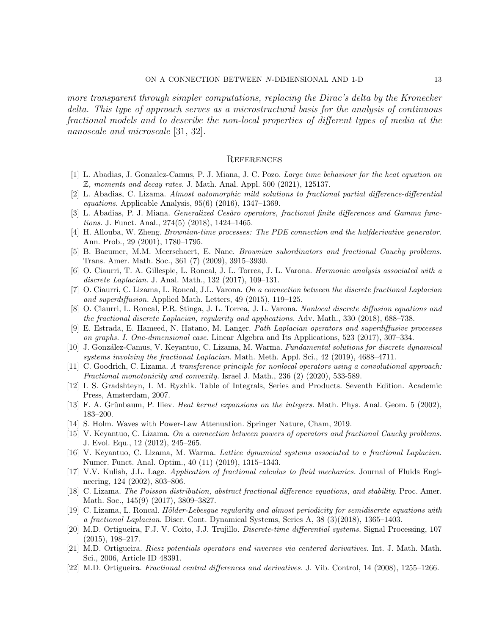more transparent through simpler computations, replacing the Dirac's delta by the Kronecker delta. This type of approach serves as a microstructural basis for the analysis of continuous fractional models and to describe the non-local properties of different types of media at the nanoscale and microscale [31, 32].

# **REFERENCES**

- [1] L. Abadias, J. Gonzalez-Camus, P. J. Miana, J. C. Pozo. Large time behaviour for the heat equation on  $\mathbb{Z}$ , moments and decay rates. J. Math. Anal. Appl. 500 (2021), 125137.
- [2] L. Abadias, C. Lizama. Almost automorphic mild solutions to fractional partial difference-differential equations. Applicable Analysis,  $95(6)$  (2016), 1347–1369.
- [3] L. Abadias, P. J. Miana. *Generalized Cesàro operators, fractional finite differences and Gamma func*tions. J. Funct. Anal., 274(5) (2018), 1424–1465.
- [4] H. Allouba, W. Zheng. Brownian-time processes: The PDE connection and the halfderivative generator. Ann. Prob., 29 (2001), 1780–1795.
- [5] B. Baeumer, M.M. Meerschaert, E. Nane. Brownian subordinators and fractional Cauchy problems. Trans. Amer. Math. Soc., 361 (7) (2009), 3915–3930.
- [6] O. Ciaurri, T. A. Gillespie, L. Roncal, J. L. Torrea, J. L. Varona. Harmonic analysis associated with a discrete Laplacian. J. Anal. Math., 132 (2017), 109–131.
- [7] O. Ciaurri, C. Lizama, L. Roncal, J.L. Varona. On a connection between the discrete fractional Laplacian and superdiffusion. Applied Math. Letters, 49 (2015), 119–125.
- [8] O. Ciaurri, L. Roncal, P.R. Stinga, J. L. Torrea, J. L. Varona. Nonlocal discrete diffusion equations and the fractional discrete Laplacian, regularity and applications. Adv. Math., 330 (2018), 688–738.
- [9] E. Estrada, E. Hameed, N. Hatano, M. Langer. Path Laplacian operators and superdiffusive processes on graphs. I. One-dimensional case. Linear Algebra and Its Applications, 523 (2017), 307–334.
- [10] J. González-Camus, V. Keyantuo, C. Lizama, M. Warma. Fundamental solutions for discrete dynamical systems involving the fractional Laplacian. Math. Meth. Appl. Sci., 42 (2019), 4688–4711.
- [11] C. Goodrich, C. Lizama. A transference principle for nonlocal operators using a convolutional approach: Fractional monotonicity and convexity. Israel J. Math., 236 (2) (2020), 533-589.
- [12] I. S. Gradshteyn, I. M. Ryzhik. Table of Integrals, Series and Products. Seventh Edition. Academic Press, Amsterdam, 2007.
- [13] F. A. Grünbaum, P. Iliev. Heat kernel expansions on the integers. Math. Phys. Anal. Geom. 5 (2002), 183–200.
- [14] S. Holm. Waves with Power-Law Attenuation. Springer Nature, Cham, 2019.
- [15] V. Keyantuo, C. Lizama. On a connection between powers of operators and fractional Cauchy problems. J. Evol. Equ., 12 (2012), 245–265.
- [16] V. Keyantuo, C. Lizama, M. Warma. Lattice dynamical systems associated to a fractional Laplacian. Numer. Funct. Anal. Optim., 40 (11) (2019), 1315–1343.
- [17] V.V. Kulish, J.L. Lage. Application of fractional calculus to fluid mechanics. Journal of Fluids Engineering, 124 (2002), 803–806.
- [18] C. Lizama. The Poisson distribution, abstract fractional difference equations, and stability. Proc. Amer. Math. Soc., 145(9) (2017), 3809–3827.
- [19] C. Lizama, L. Roncal. Hölder-Lebesgue regularity and almost periodicity for semidiscrete equations with a fractional Laplacian. Discr. Cont. Dynamical Systems, Series A, 38 (3)(2018), 1365–1403.
- [20] M.D. Ortigueira, F.J. V. Coito, J.J. Trujillo. Discrete-time differential systems. Signal Processing, 107 (2015), 198–217.
- [21] M.D. Ortigueira. Riesz potentials operators and inverses via centered derivatives. Int. J. Math. Math. Sci., 2006, Article ID 48391.
- [22] M.D. Ortigueira. Fractional central differences and derivatives. J. Vib. Control, 14 (2008), 1255–1266.